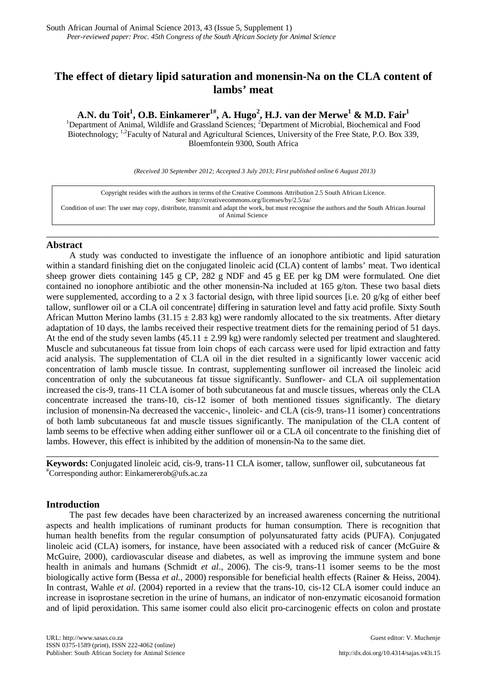# **The effect of dietary lipid saturation and monensin-Na on the CLA content of lambs' meat**

A.N. du Toit<sup>1</sup>, O.B. Einkamerer<sup>1#</sup>, A. Hugo<sup>2</sup>, H.J. van der Merwe<sup>1</sup> & M.D. Fair<sup>1</sup><br><sup>1</sup>Department of Animal, Wildlife and Grassland Sciences; <sup>2</sup>Department of Microbial, Biochemical and Food

Biotechnology; <sup>1,2</sup>Faculty of Natural and Agricultural Sciences, University of the Free State, P.O. Box 339, Bloemfontein 9300, South Africa

*(Received 30 September 2012; Accepted 3 July 2013; First published online 6 August 2013)*

Copyright resides with the authors in terms of the Creative Commons Attribution 2.5 South African Licence. See[: http://creativecommons.org/licenses/by/2.5/za/](http://creativecommons.org/licenses/by/2.5/za/)  Condition of use: The user may copy, distribute, transmit and adapt the work, but must recognise the authors and the South African Journal of Animal Science

\_\_\_\_\_\_\_\_\_\_\_\_\_\_\_\_\_\_\_\_\_\_\_\_\_\_\_\_\_\_\_\_\_\_\_\_\_\_\_\_\_\_\_\_\_\_\_\_\_\_\_\_\_\_\_\_\_\_\_\_\_\_\_\_\_\_\_\_\_\_\_\_\_\_\_\_\_\_\_\_

### **Abstract**

A study was conducted to investigate the influence of an ionophore antibiotic and lipid saturation within a standard finishing diet on the conjugated linoleic acid (CLA) content of lambs' meat. Two identical sheep grower diets containing 145 g CP, 282 g NDF and 45 g EE per kg DM were formulated. One diet contained no ionophore antibiotic and the other monensin-Na included at 165 g/ton. These two basal diets were supplemented, according to a 2 x 3 factorial design, with three lipid sources [i.e. 20 g/kg of either beef tallow, sunflower oil or a CLA oil concentrate] differing in saturation level and fatty acid profile. Sixty South African Mutton Merino lambs (31.15  $\pm$  2.83 kg) were randomly allocated to the six treatments. After dietary adaptation of 10 days, the lambs received their respective treatment diets for the remaining period of 51 days. At the end of the study seven lambs  $(45.11 \pm 2.99 \text{ kg})$  were randomly selected per treatment and slaughtered. Muscle and subcutaneous fat tissue from loin chops of each carcass were used for lipid extraction and fatty acid analysis. The supplementation of CLA oil in the diet resulted in a significantly lower vaccenic acid concentration of lamb muscle tissue. In contrast, supplementing sunflower oil increased the linoleic acid concentration of only the subcutaneous fat tissue significantly. Sunflower- and CLA oil supplementation increased the cis-9, trans-11 CLA isomer of both subcutaneous fat and muscle tissues, whereas only the CLA concentrate increased the trans-10, cis-12 isomer of both mentioned tissues significantly. The dietary inclusion of monensin-Na decreased the vaccenic-, linoleic- and CLA (cis-9, trans-11 isomer) concentrations of both lamb subcutaneous fat and muscle tissues significantly. The manipulation of the CLA content of lamb seems to be effective when adding either sunflower oil or a CLA oil concentrate to the finishing diet of lambs. However, this effect is inhibited by the addition of monensin-Na to the same diet.

**Keywords:** Conjugated linoleic acid, cis-9, trans-11 CLA isomer, tallow, sunflower oil, subcutaneous fat # Corresponding author: Einkamererob@ufs.ac.za

\_\_\_\_\_\_\_\_\_\_\_\_\_\_\_\_\_\_\_\_\_\_\_\_\_\_\_\_\_\_\_\_\_\_\_\_\_\_\_\_\_\_\_\_\_\_\_\_\_\_\_\_\_\_\_\_\_\_\_\_\_\_\_\_\_\_\_\_\_\_\_\_\_\_\_\_\_\_\_\_

## **Introduction**

The past few decades have been characterized by an increased awareness concerning the nutritional aspects and health implications of ruminant products for human consumption. There is recognition that human health benefits from the regular consumption of polyunsaturated fatty acids (PUFA). Conjugated linoleic acid (CLA) isomers, for instance, have been associated with a reduced risk of cancer (McGuire & McGuire, 2000), cardiovascular disease and diabetes, as well as improving the immune system and bone health in animals and humans (Schmidt *et al*., 2006). The cis-9, trans-11 isomer seems to be the most biologically active form (Bessa *et al*., 2000) responsible for beneficial health effects (Rainer & Heiss, 2004). In contrast, Wahle *et al*. (2004) reported in a review that the trans-10, cis-12 CLA isomer could induce an increase in isoprostane secretion in the urine of humans, an indicator of non-enzymatic eicosanoid formation and of lipid peroxidation. This same isomer could also elicit pro-carcinogenic effects on colon and prostate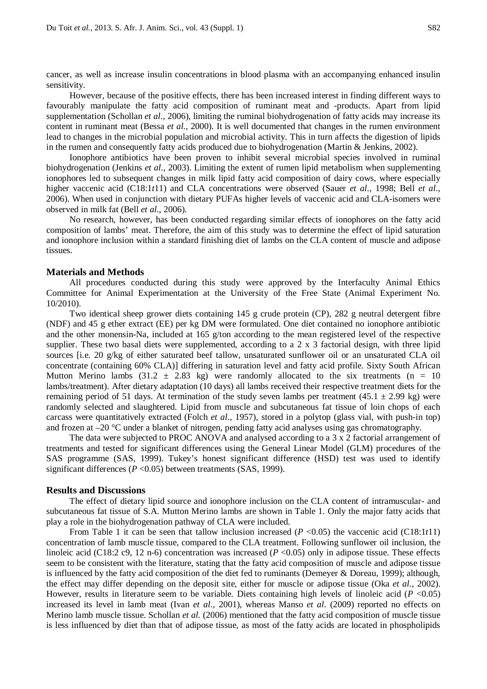cancer, as well as increase insulin concentrations in blood plasma with an accompanying enhanced insulin sensitivity.

However, because of the positive effects, there has been increased interest in finding different ways to favourably manipulate the fatty acid composition of ruminant meat and -products. Apart from lipid supplementation (Schollan *et al*., 2006), limiting the ruminal biohydrogenation of fatty acids may increase its content in ruminant meat (Bessa *et al*., 2000). It is well documented that changes in the rumen environment lead to changes in the microbial population and microbial activity. This in turn affects the digestion of lipids in the rumen and consequently fatty acids produced due to biohydrogenation (Martin & Jenkins, 2002).

Ionophore antibiotics have been proven to inhibit several microbial species involved in ruminal biohydrogenation (Jenkins *et al*., 2003). Limiting the extent of rumen lipid metabolism when supplementing ionophores led to subsequent changes in milk lipid fatty acid composition of dairy cows, where especially higher vaccenic acid (C18:1*t*11) and CLA concentrations were observed (Sauer *et al*., 1998; Bell *et al*., 2006). When used in conjunction with dietary PUFAs higher levels of vaccenic acid and CLA-isomers were observed in milk fat (Bell *et al*., 2006).

No research, however, has been conducted regarding similar effects of ionophores on the fatty acid composition of lambs' meat. Therefore, the aim of this study was to determine the effect of lipid saturation and ionophore inclusion within a standard finishing diet of lambs on the CLA content of muscle and adipose tissues.

#### **Materials and Methods**

All procedures conducted during this study were approved by the Interfaculty Animal Ethics Committee for Animal Experimentation at the University of the Free State (Animal Experiment No. 10/2010).

Two identical sheep grower diets containing 145 g crude protein (CP), 282 g neutral detergent fibre (NDF) and 45 g ether extract (EE) per kg DM were formulated. One diet contained no ionophore antibiotic and the other monensin-Na, included at 165 g/ton according to the mean registered level of the respective supplier. These two basal diets were supplemented, according to a 2 x 3 factorial design, with three lipid sources [i.e. 20 g/kg of either saturated beef tallow, unsaturated sunflower oil or an unsaturated CLA oil concentrate (containing 60% CLA)] differing in saturation level and fatty acid profile. Sixty South African Mutton Merino lambs (31.2  $\pm$  2.83 kg) were randomly allocated to the six treatments (n = 10 lambs/treatment). After dietary adaptation (10 days) all lambs received their respective treatment diets for the remaining period of 51 days. At termination of the study seven lambs per treatment (45.1  $\pm$  2.99 kg) were randomly selected and slaughtered. Lipid from muscle and subcutaneous fat tissue of loin chops of each carcass were quantitatively extracted (Folch *et al*., 1957), stored in a polytop (glass vial, with push-in top) and frozen at –20 °C under a blanket of nitrogen, pending fatty acid analyses using gas chromatography.

The data were subjected to PROC ANOVA and analysed according to a 3 x 2 factorial arrangement of treatments and tested for significant differences using the General Linear Model (GLM) procedures of the SAS programme (SAS, 1999). Tukey's honest significant difference (HSD) test was used to identify significant differences (*P* < 0.05) between treatments (SAS, 1999).

#### **Results and Discussions**

The effect of dietary lipid source and ionophore inclusion on the CLA content of intramuscular- and subcutaneous fat tissue of S.A. Mutton Merino lambs are shown in Table 1. Only the major fatty acids that play a role in the biohydrogenation pathway of CLA were included.

From Table 1 it can be seen that tallow inclusion increased  $(P \le 0.05)$  the vaccenic acid (C18:1*t*11) concentration of lamb muscle tissue, compared to the CLA treatment. Following sunflower oil inclusion, the linoleic acid (C18:2 c9, 12 n-6) concentration was increased (*P* <0.05) only in adipose tissue. These effects seem to be consistent with the literature, stating that the fatty acid composition of muscle and adipose tissue is influenced by the fatty acid composition of the diet fed to ruminants (Demeyer & Doreau, 1999); although, the effect may differ depending on the deposit site, either for muscle or adipose tissue (Oka *et al*., 2002). However, results in literature seem to be variable. Diets containing high levels of linoleic acid (*P* <0.05) increased its level in lamb meat (Ivan *et al*., 2001), whereas Manso *et al*. (2009) reported no effects on Merino lamb muscle tissue. Schollan *et al.* (2006) mentioned that the fatty acid composition of muscle tissue is less influenced by diet than that of adipose tissue, as most of the fatty acids are located in phospholipids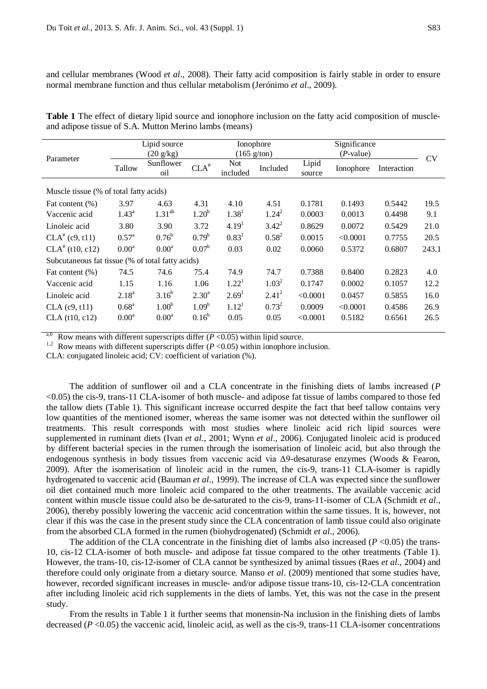and cellular membranes (Wood *et al*., 2008). Their fatty acid composition is fairly stable in order to ensure normal membrane function and thus cellular metabolism (Jerónimo *et al*., 2009).

|                                                        |  |  |  | Table 1 The effect of dietary lipid source and ionophore inclusion on the fatty acid composition of muscle- |
|--------------------------------------------------------|--|--|--|-------------------------------------------------------------------------------------------------------------|
| and adipose tissue of S.A. Mutton Merino lambs (means) |  |  |  |                                                                                                             |

| Parameter                                        | Lipid source<br>$(20 \text{ g/kg})$ |                   |                   | Ionophore<br>$(165 \text{ g/ton})$ |            |                 | Significance<br>( <i>P</i> -value) |             |       |  |  |
|--------------------------------------------------|-------------------------------------|-------------------|-------------------|------------------------------------|------------|-----------------|------------------------------------|-------------|-------|--|--|
|                                                  | Tallow                              | Sunflower<br>oil  | $CLA^*$           | Not<br>included                    | Included   | Lipid<br>source | Ionophore                          | Interaction | CV    |  |  |
| Muscle tissue (% of total fatty acids)           |                                     |                   |                   |                                    |            |                 |                                    |             |       |  |  |
| Fat content (%)                                  | 3.97                                | 4.63              | 4.31              | 4.10                               | 4.51       | 0.1781          | 0.1493                             | 0.5442      | 19.5  |  |  |
| Vaccenic acid                                    | $1.43^{\circ}$                      | $1.31^{ab}$       | $1.20^{b}$        | 1.38 <sup>1</sup>                  | $1.24^2$   | 0.0003          | 0.0013                             | 0.4498      | 9.1   |  |  |
| Linoleic acid                                    | 3.80                                | 3.90              | 3.72              | 4.19 <sup>1</sup>                  | $3.42^{2}$ | 0.8629          | 0.0072                             | 0.5429      | 21.0  |  |  |
| $CLA^{\#}(c9, t11)$                              | $0.57^{\rm a}$                      | $0.76^{\rm b}$    | $0.79^b$          | $0.83^{1}$                         | $0.58^{2}$ | 0.0015          | < 0.0001                           | 0.7755      | 20.5  |  |  |
| $CLA^*(t10, c12)$                                | 0.00 <sup>a</sup>                   | 0.00 <sup>a</sup> | $0.07^{\rm b}$    | 0.03                               | 0.02       | 0.0060          | 0.5372                             | 0.6807      | 243.1 |  |  |
| Subcutaneous fat tissue (% of total fatty acids) |                                     |                   |                   |                                    |            |                 |                                    |             |       |  |  |
| Fat content $(\%)$                               | 74.5                                | 74.6              | 75.4              | 74.9                               | 74.7       | 0.7388          | 0.8400                             | 0.2823      | 4.0   |  |  |
| Vaccenic acid                                    | 1.15                                | 1.16              | 1.06              | 1.22 <sup>1</sup>                  | $1.03^2$   | 0.1747          | 0.0002                             | 0.1057      | 12.2  |  |  |
| Linoleic acid                                    | $2.18^{a}$                          | $3.16^{b}$        | $2.30^{\rm a}$    | 2.69 <sup>1</sup>                  | $2.41^{2}$ | < 0.0001        | 0.0457                             | 0.5855      | 16.0  |  |  |
| $CLA$ (c9, t11)                                  | 0.68 <sup>a</sup>                   | 1.00 <sup>b</sup> | 1.09 <sup>b</sup> | 1.12 <sup>1</sup>                  | $0.73^{2}$ | 0.0009          | < 0.0001                           | 0.4586      | 26.9  |  |  |
| CLA (t10, c12)                                   | 0.00 <sup>a</sup>                   | 0.00 <sup>a</sup> | $0.16^b$          | 0.05                               | 0.05       | < 0.0001        | 0.5182                             | 0.6561      | 26.5  |  |  |

Row means with different superscripts differ  $(P < 0.05)$  within lipid source.

<sup>1,2</sup> Row means with different superscripts differ  $(P < 0.05)$  within ionophore inclusion.

CLA: conjugated linoleic acid; CV: coefficient of variation (%).

The addition of sunflower oil and a CLA concentrate in the finishing diets of lambs increased (*P* <0.05) the cis-9, trans-11 CLA-isomer of both muscle- and adipose fat tissue of lambs compared to those fed the tallow diets (Table 1). This significant increase occurred despite the fact that beef tallow contains very low quantities of the mentioned isomer, whereas the same isomer was not detected within the sunflower oil treatments. This result corresponds with most studies where linoleic acid rich lipid sources were supplemented in ruminant diets (Ivan *et al*., 2001; Wynn *et al*., 2006). Conjugated linoleic acid is produced by different bacterial species in the rumen through the isomerisation of linoleic acid, but also through the endogenous synthesis in body tissues from vaccenic acid via Δ9-desaturase enzymes (Woods & Fearon, 2009). After the isomerisation of linoleic acid in the rumen, the cis-9, trans-11 CLA-isomer is rapidly hydrogenated to vaccenic acid (Bauman *et al*., 1999). The increase of CLA was expected since the sunflower oil diet contained much more linoleic acid compared to the other treatments. The available vaccenic acid content within muscle tissue could also be de-saturated to the cis-9, trans-11-isomer of CLA (Schmidt *et al*., 2006), thereby possibly lowering the vaccenic acid concentration within the same tissues. It is, however, not clear if this was the case in the present study since the CLA concentration of lamb tissue could also originate from the absorbed CLA formed in the rumen (biohydrogenated) (Schmidt *et al*., 2006).

The addition of the CLA concentrate in the finishing diet of lambs also increased ( $P \le 0.05$ ) the trans-10, cis-12 CLA-isomer of both muscle- and adipose fat tissue compared to the other treatments (Table 1). However, the trans-10, cis-12-isomer of CLA cannot be synthesized by animal tissues (Raes *et al*., 2004) and therefore could only originate from a dietary source. Manso *et al*. (2009) mentioned that some studies have, however, recorded significant increases in muscle- and/or adipose tissue trans-10, cis-12-CLA concentration after including linoleic acid rich supplements in the diets of lambs. Yet, this was not the case in the present study.

From the results in Table 1 it further seems that monensin-Na inclusion in the finishing diets of lambs decreased (*P* <0.05) the vaccenic acid, linoleic acid, as well as the cis-9, trans-11 CLA-isomer concentrations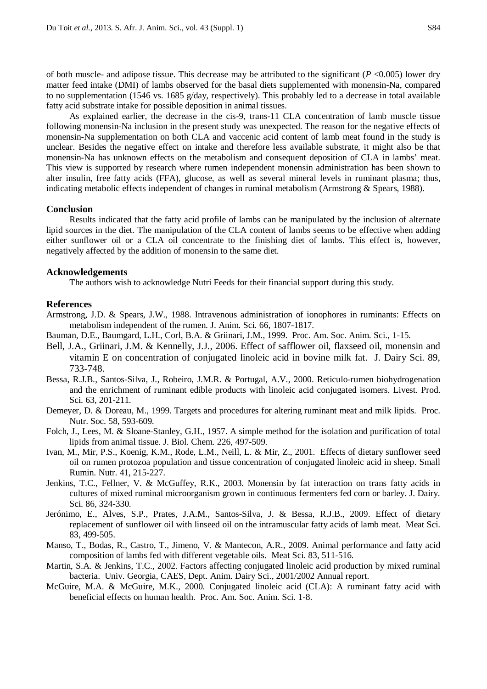of both muscle- and adipose tissue. This decrease may be attributed to the significant (*P* <0.005) lower dry matter feed intake (DMI) of lambs observed for the basal diets supplemented with monensin-Na, compared to no supplementation (1546 vs. 1685 g/day, respectively). This probably led to a decrease in total available fatty acid substrate intake for possible deposition in animal tissues.

As explained earlier, the decrease in the cis-9, trans-11 CLA concentration of lamb muscle tissue following monensin-Na inclusion in the present study was unexpected. The reason for the negative effects of monensin-Na supplementation on both CLA and vaccenic acid content of lamb meat found in the study is unclear. Besides the negative effect on intake and therefore less available substrate, it might also be that monensin-Na has unknown effects on the metabolism and consequent deposition of CLA in lambs' meat. This view is supported by research where rumen independent monensin administration has been shown to alter insulin, free fatty acids (FFA), glucose, as well as several mineral levels in ruminant plasma; thus, indicating metabolic effects independent of changes in ruminal metabolism (Armstrong & Spears, 1988).

#### **Conclusion**

Results indicated that the fatty acid profile of lambs can be manipulated by the inclusion of alternate lipid sources in the diet. The manipulation of the CLA content of lambs seems to be effective when adding either sunflower oil or a CLA oil concentrate to the finishing diet of lambs. This effect is, however, negatively affected by the addition of monensin to the same diet.

#### **Acknowledgements**

The authors wish to acknowledge Nutri Feeds for their financial support during this study.

#### **References**

- Armstrong, J.D. & Spears, J.W., 1988. Intravenous administration of ionophores in ruminants: Effects on metabolism independent of the rumen. J. Anim. Sci. 66, 1807-1817.
- Bauman, D.E., Baumgard, L.H., Corl, B.A. & Griinari, J.M., 1999. Proc. Am. Soc. Anim. Sci., 1-15.
- Bell, J.A., Griinari, J.M. & Kennelly, J.J., 2006. Effect of safflower oil, flaxseed oil, monensin and vitamin E on concentration of conjugated linoleic acid in bovine milk fat. J. Dairy Sci. 89, 733-748.
- Bessa, R.J.B., Santos-Silva, J., Robeiro, J.M.R. & Portugal, A.V., 2000. Reticulo-rumen biohydrogenation and the enrichment of ruminant edible products with linoleic acid conjugated isomers. Livest. Prod. Sci. 63, 201-211.
- Demeyer, D. & Doreau, M., 1999. Targets and procedures for altering ruminant meat and milk lipids. Proc. Nutr. Soc. 58, 593-609.
- Folch, J., Lees, M. & Sloane-Stanley, G.H., 1957. A simple method for the isolation and purification of total lipids from animal tissue. J. Biol. Chem. 226, 497-509.
- Ivan, M., Mir, P.S., Koenig, K.M., Rode, L.M., Neill, L. & Mir, Z., 2001. Effects of dietary sunflower seed oil on rumen protozoa population and tissue concentration of conjugated linoleic acid in sheep. Small Rumin. Nutr. 41, 215-227.
- Jenkins, T.C., Fellner, V. & McGuffey, R.K., 2003. Monensin by fat interaction on trans fatty acids in cultures of mixed ruminal microorganism grown in continuous fermenters fed corn or barley. J. Dairy. Sci. 86, 324-330.
- Jerónimo, E., Alves, S.P., Prates, J.A.M., Santos-Silva, J. & Bessa, R.J.B., 2009. Effect of dietary replacement of sunflower oil with linseed oil on the intramuscular fatty acids of lamb meat. Meat Sci. 83, 499-505.
- Manso, T., Bodas, R., Castro, T., Jimeno, V. & Mantecon, A.R., 2009. Animal performance and fatty acid composition of lambs fed with different vegetable oils. Meat Sci. 83, 511-516.
- Martin, S.A. & Jenkins, T.C., 2002. Factors affecting conjugated linoleic acid production by mixed ruminal bacteria. Univ. Georgia, CAES, Dept. Anim. Dairy Sci., 2001/2002 Annual report.
- McGuire, M.A. & McGuire, M.K., 2000. Conjugated linoleic acid (CLA): A ruminant fatty acid with beneficial effects on human health. Proc. Am. Soc. Anim. Sci. 1-8.